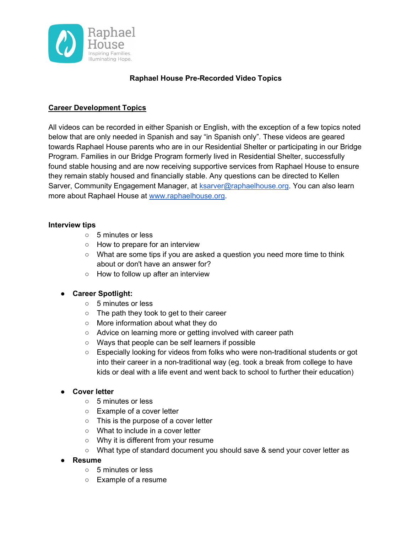

## Raphael House Pre-Recorded Video Topics

### Career Development Topics

All videos can be recorded in either Spanish or English, with the exception of a few topics noted below that are only needed in Spanish and say "in Spanish only". These videos are geared towards Raphael House parents who are in our Residential Shelter or participating in our Bridge Program. Families in our Bridge Program formerly lived in Residential Shelter, successfully found stable housing and are now receiving supportive services from Raphael House to ensure they remain stably housed and financially stable. Any questions can be directed to Kellen Sarver, Community Engagement Manager, at ksarver@raphaelhouse.org. You can also learn more about Raphael House at www.raphaelhouse.org.

#### Interview tips

- 5 minutes or less
- How to prepare for an interview
- What are some tips if you are asked a question you need more time to think about or don't have an answer for?
- How to follow up after an interview

### ● Career Spotlight:

- 5 minutes or less
- The path they took to get to their career
- More information about what they do
- Advice on learning more or getting involved with career path
- Ways that people can be self learners if possible
- Especially looking for videos from folks who were non-traditional students or got into their career in a non-traditional way (eg. took a break from college to have kids or deal with a life event and went back to school to further their education)

### ● Cover letter

- 5 minutes or less
- Example of a cover letter
- This is the purpose of a cover letter
- What to include in a cover letter
- Why it is different from your resume
- What type of standard document you should save & send your cover letter as
- Resume
	- 5 minutes or less
	- Example of a resume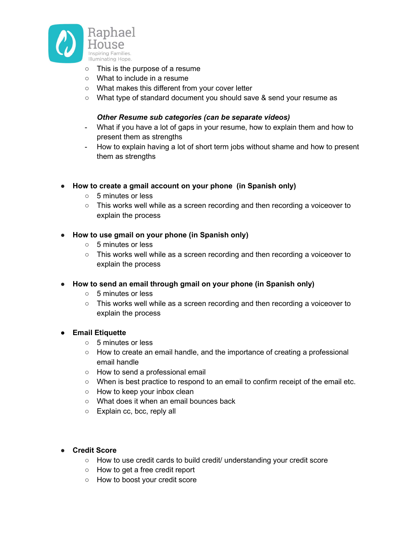

- This is the purpose of a resume
- What to include in a resume
- What makes this different from your cover letter
- What type of standard document you should save & send your resume as

#### Other Resume sub categories (can be separate videos)

- What if you have a lot of gaps in your resume, how to explain them and how to present them as strengths
- How to explain having a lot of short term jobs without shame and how to present them as strengths
- How to create a gmail account on your phone (in Spanish only)
	- 5 minutes or less
	- This works well while as a screen recording and then recording a voiceover to explain the process
- How to use gmail on your phone (in Spanish only)
	- 5 minutes or less
	- This works well while as a screen recording and then recording a voiceover to explain the process
- How to send an email through gmail on your phone (in Spanish only)
	- 5 minutes or less
	- This works well while as a screen recording and then recording a voiceover to explain the process

### ● Email Etiquette

- 5 minutes or less
- How to create an email handle, and the importance of creating a professional email handle
- How to send a professional email
- When is best practice to respond to an email to confirm receipt of the email etc.
- How to keep your inbox clean
- What does it when an email bounces back
- Explain cc, bcc, reply all

### ● Credit Score

- How to use credit cards to build credit/ understanding your credit score
- How to get a free credit report
- How to boost your credit score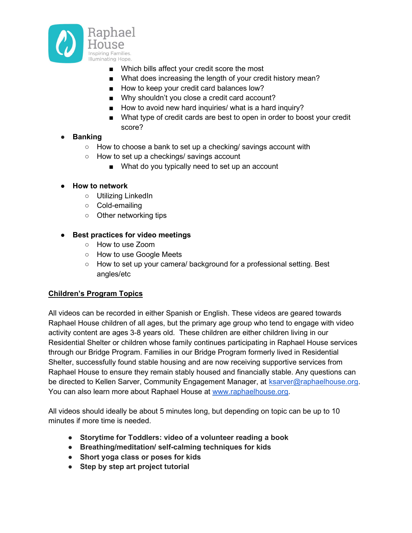

- Which bills affect your credit score the most
- What does increasing the length of your credit history mean?
- How to keep your credit card balances low?
- Why shouldn't you close a credit card account?
- How to avoid new hard inquiries/ what is a hard inquiry?
- What type of credit cards are best to open in order to boost your credit score?

## ● Banking

- How to choose a bank to set up a checking/ savings account with
- How to set up a checkings/ savings account
	- What do you typically need to set up an account

## ● How to network

- Utilizing LinkedIn
- Cold-emailing
- Other networking tips

## ● Best practices for video meetings

- How to use Zoom
- How to use Google Meets
- How to set up your camera/ background for a professional setting. Best angles/etc

# Children's Program Topics

All videos can be recorded in either Spanish or English. These videos are geared towards Raphael House children of all ages, but the primary age group who tend to engage with video activity content are ages 3-8 years old. These children are either children living in our Residential Shelter or children whose family continues participating in Raphael House services through our Bridge Program. Families in our Bridge Program formerly lived in Residential Shelter, successfully found stable housing and are now receiving supportive services from Raphael House to ensure they remain stably housed and financially stable. Any questions can be directed to Kellen Sarver, Community Engagement Manager, at ksarver@raphaelhouse.org. You can also learn more about Raphael House at www.raphaelhouse.org.

All videos should ideally be about 5 minutes long, but depending on topic can be up to 10 minutes if more time is needed.

- Storytime for Toddlers: video of a volunteer reading a book
- Breathing/meditation/ self-calming techniques for kids
- Short yoga class or poses for kids
- Step by step art project tutorial